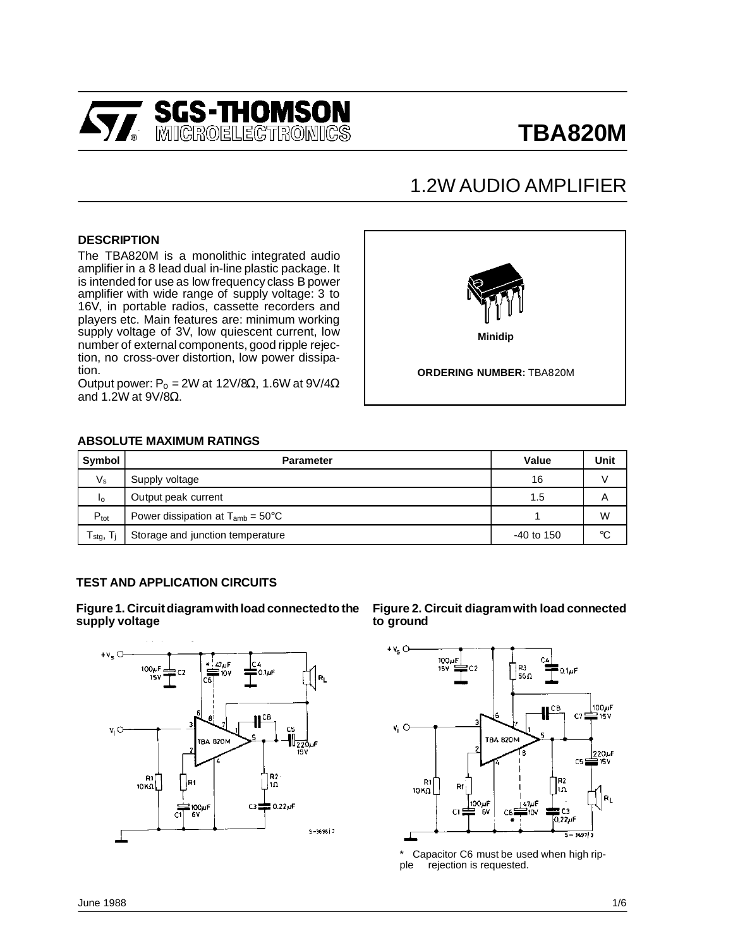

# **TBA820M**

## 1.2W AUDIO AMPLIFIER

#### **DESCRIPTION**

The TBA820M is a monolithic integrated audio amplifier in a 8 lead dual in-line plastic package. It is intended for use as low frequency class B power amplifier with wide range of supply voltage: 3 to 16V, in portable radios, cassette recorders and players etc. Main features are: minimum working supply voltage of 3V, low quiescent current, low number of external components, good ripple rejection, no cross-over distortion, low power dissipation.

Output power:  $P_0 = 2W$  at 12V/8Ω, 1.6W at 9V/4Ω and 1.2W at 9V/8Ω.



#### **ABSOLUTE MAXIMUM RATINGS**

| Symbol                                                | <b>Parameter</b>                              | Value        | Unit |
|-------------------------------------------------------|-----------------------------------------------|--------------|------|
| $V_{\rm s}$                                           | Supply voltage                                | 16           |      |
| Ιo                                                    | Output peak current                           | 1.5          | A    |
| $P_{\text{tot}}$                                      | Power dissipation at $T_{amb} = 50^{\circ}$ C |              | W    |
| ${\mathsf T}_{\text{stg},\vphantom{\mathsf T}}$<br>т. | Storage and junction temperature              | $-40$ to 150 | °C   |

#### **TEST AND APPLICATION CIRCUITS**

**Figure 1. Circuitdiagramwithload connectedto the supply voltage**



**Figure 2. Circuit diagramwith load connected to ground**



Capacitor C6 must be used when high ripple rejection is requested.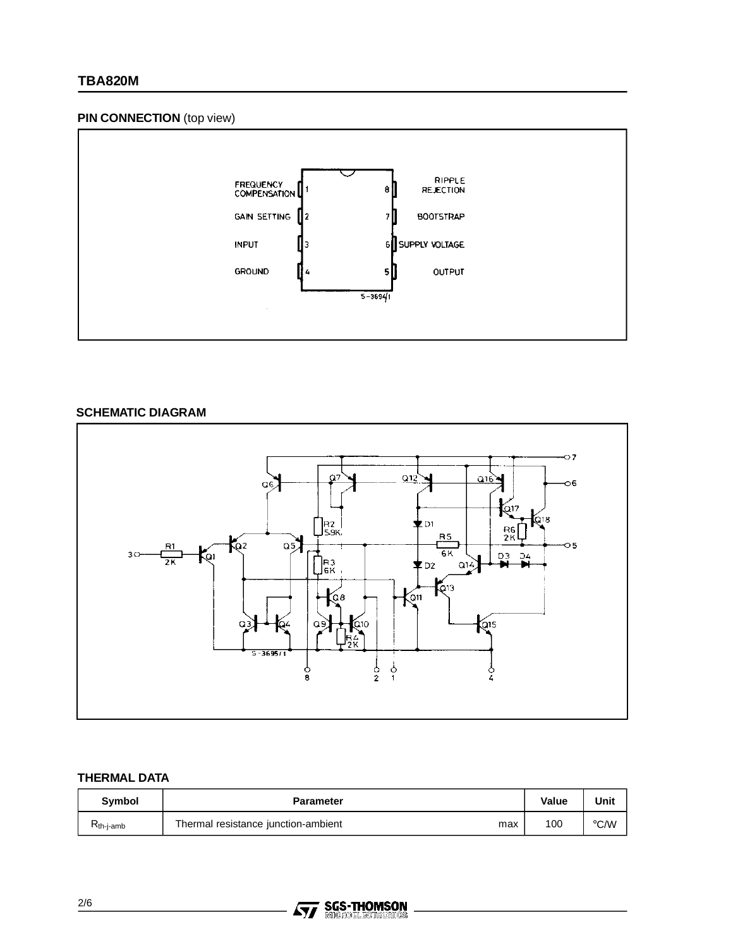#### **PIN CONNECTION** (top view)



#### **SCHEMATIC DIAGRAM**



### **THERMAL DATA**

| Symbol         | <b>Parameter</b>                           | Value | Unit          |
|----------------|--------------------------------------------|-------|---------------|
| $R_{th-j-amb}$ | Thermal resistance junction-ambient<br>max | 100   | $\degree$ C/W |

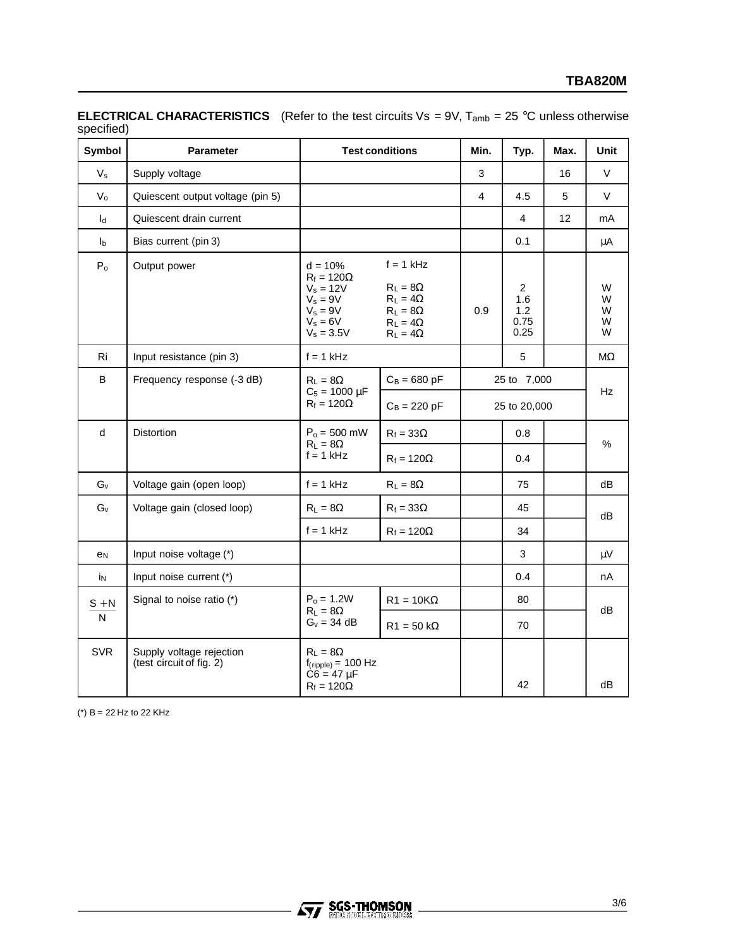| Symbol                    | Parameter                                            | <b>Test conditions</b>                                                                                  |                                                                                                            | Min.         | Typ.                                         | Max. | <b>Unit</b>           |
|---------------------------|------------------------------------------------------|---------------------------------------------------------------------------------------------------------|------------------------------------------------------------------------------------------------------------|--------------|----------------------------------------------|------|-----------------------|
| $V_{s}$                   | Supply voltage                                       |                                                                                                         |                                                                                                            | 3            |                                              | 16   | V                     |
| $V_{o}$                   | Quiescent output voltage (pin 5)                     |                                                                                                         |                                                                                                            | 4            | 4.5                                          | 5    | V                     |
| $I_d$                     | Quiescent drain current                              |                                                                                                         |                                                                                                            |              | 4                                            | 12   | mA                    |
| I <sub>b</sub>            | Bias current (pin 3)                                 |                                                                                                         |                                                                                                            |              | 0.1                                          |      | μA                    |
| $P_0$                     | Output power                                         | $d = 10%$<br>$R_f = 120\Omega$<br>$V_s = 12V$<br>$V_s = 9V$<br>$V_s = 9V$<br>$V_s = 6V$<br>$V_s = 3.5V$ | $f = 1$ kHz<br>$R_L = 8\Omega$<br>$R_L = 4\Omega$<br>$R_L = 8\Omega$<br>$R_L = 4\Omega$<br>$R_L = 4\Omega$ | 0.9          | $\overline{2}$<br>1.6<br>1.2<br>0.75<br>0.25 |      | W<br>W<br>W<br>W<br>W |
| Ri                        | Input resistance (pin 3)                             | $f = 1$ kHz                                                                                             |                                                                                                            |              | $\mathbf 5$                                  |      | $M\Omega$             |
| B                         | Frequency response (-3 dB)                           | $C_B = 680 pF$<br>$R_L = 8\Omega$<br>$C_5 = 1000 \mu F$                                                 |                                                                                                            |              | 25 to 7,000                                  |      |                       |
|                           |                                                      | $R_f = 120\Omega$                                                                                       | $C_B = 220 pF$                                                                                             | 25 to 20,000 |                                              |      |                       |
| d                         | <b>Distortion</b>                                    | $P_0 = 500$ mW<br>$R_1 = 8\Omega$                                                                       | $R_f = 33\Omega$                                                                                           |              | 0.8                                          |      | $\%$                  |
|                           |                                                      | $f = 1$ kHz                                                                                             | $R_f = 120\Omega$                                                                                          |              | 0.4                                          |      |                       |
| $G_v$                     | Voltage gain (open loop)                             | $f = 1$ kHz                                                                                             | $R_L = 8\Omega$                                                                                            |              | 75                                           |      | dB                    |
| $G_v$                     | Voltage gain (closed loop)                           | $R_L = 8\Omega$                                                                                         | $R_f = 33\Omega$                                                                                           |              | 45                                           |      | dB                    |
|                           |                                                      | $f = 1$ kHz                                                                                             | $R_f = 120\Omega$                                                                                          |              | 34                                           |      |                       |
| e <sub>N</sub>            | Input noise voltage (*)                              |                                                                                                         |                                                                                                            |              | 3                                            |      | μV                    |
| İN                        | Input noise current (*)                              |                                                                                                         |                                                                                                            |              | 0.4                                          |      | nA                    |
| $\texttt{S} + \texttt{N}$ | Signal to noise ratio (*)                            | $P_0 = 1.2W$                                                                                            | $R1 = 10K\Omega$                                                                                           |              | 80                                           |      |                       |
| N                         |                                                      | $R_L = 8\Omega$<br>$G_v = 34$ dB                                                                        | $R1 = 50 k\Omega$                                                                                          |              | 70                                           |      | dB                    |
| <b>SVR</b>                | Supply voltage rejection<br>(test circuit of fig. 2) | $R_L = 8\Omega$<br>$f_{(ripole)} = 100 Hz$<br>$C6 = 47 \mu F$<br>$R_f = 120\Omega$                      |                                                                                                            |              | 42                                           |      | dB                    |

**ELECTRICAL CHARACTERISTICS** (Refer to the test circuits Vs = 9V, Tamb = 25 °C unless otherwise specified)

(\*)  $B = 22$  Hz to 22 KHz

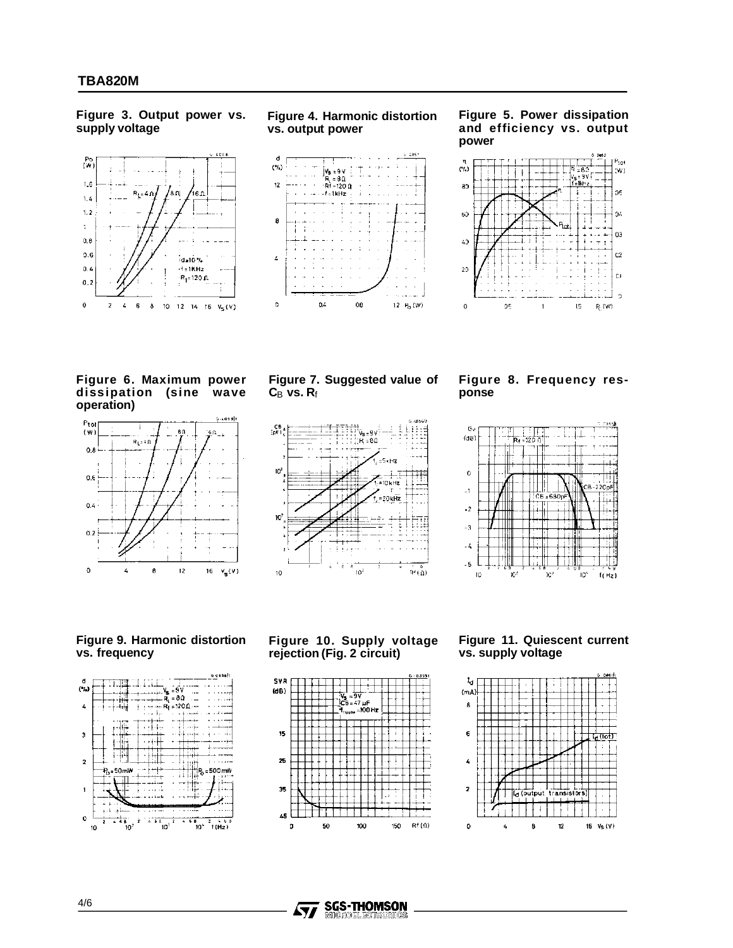**Figure 3. Output power vs. supply voltage**



**Figure 4. Harmonic distortion vs. output power**



**Figure 5. Power dissipation and efficiency vs. output power**



**Figure 6. Maximum power dissipation (sine wave operation)**



**Figure 7. Suggested value of C**B **vs. R**f



**Figure 8. Frequency response**



#### **Figure 9. Harmonic distortion vs. frequency**



**Figure 10. Supply voltage rejection (Fig. 2 circuit)**







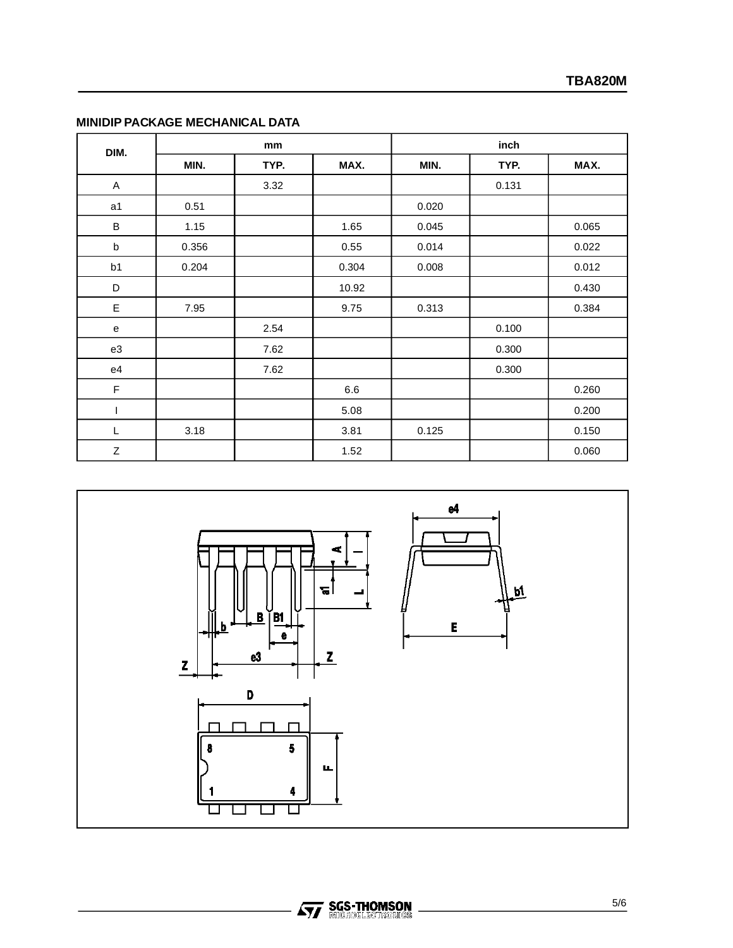|  |  | MINIDIP PACKAGE MECHANICAL DATA |  |
|--|--|---------------------------------|--|
|--|--|---------------------------------|--|

| DIM.         | mm    |      |       | inch  |       |       |
|--------------|-------|------|-------|-------|-------|-------|
|              | MIN.  | TYP. | MAX.  | MIN.  | TYP.  | MAX.  |
| $\mathsf{A}$ |       | 3.32 |       |       | 0.131 |       |
| a1           | 0.51  |      |       | 0.020 |       |       |
| $\sf B$      | 1.15  |      | 1.65  | 0.045 |       | 0.065 |
| b            | 0.356 |      | 0.55  | 0.014 |       | 0.022 |
| b1           | 0.204 |      | 0.304 | 0.008 |       | 0.012 |
| D            |       |      | 10.92 |       |       | 0.430 |
| E            | 7.95  |      | 9.75  | 0.313 |       | 0.384 |
| e            |       | 2.54 |       |       | 0.100 |       |
| e3           |       | 7.62 |       |       | 0.300 |       |
| e4           |       | 7.62 |       |       | 0.300 |       |
| F            |       |      | 6.6   |       |       | 0.260 |
|              |       |      | 5.08  |       |       | 0.200 |
| L            | 3.18  |      | 3.81  | 0.125 |       | 0.150 |
| Z            |       |      | 1.52  |       |       | 0.060 |